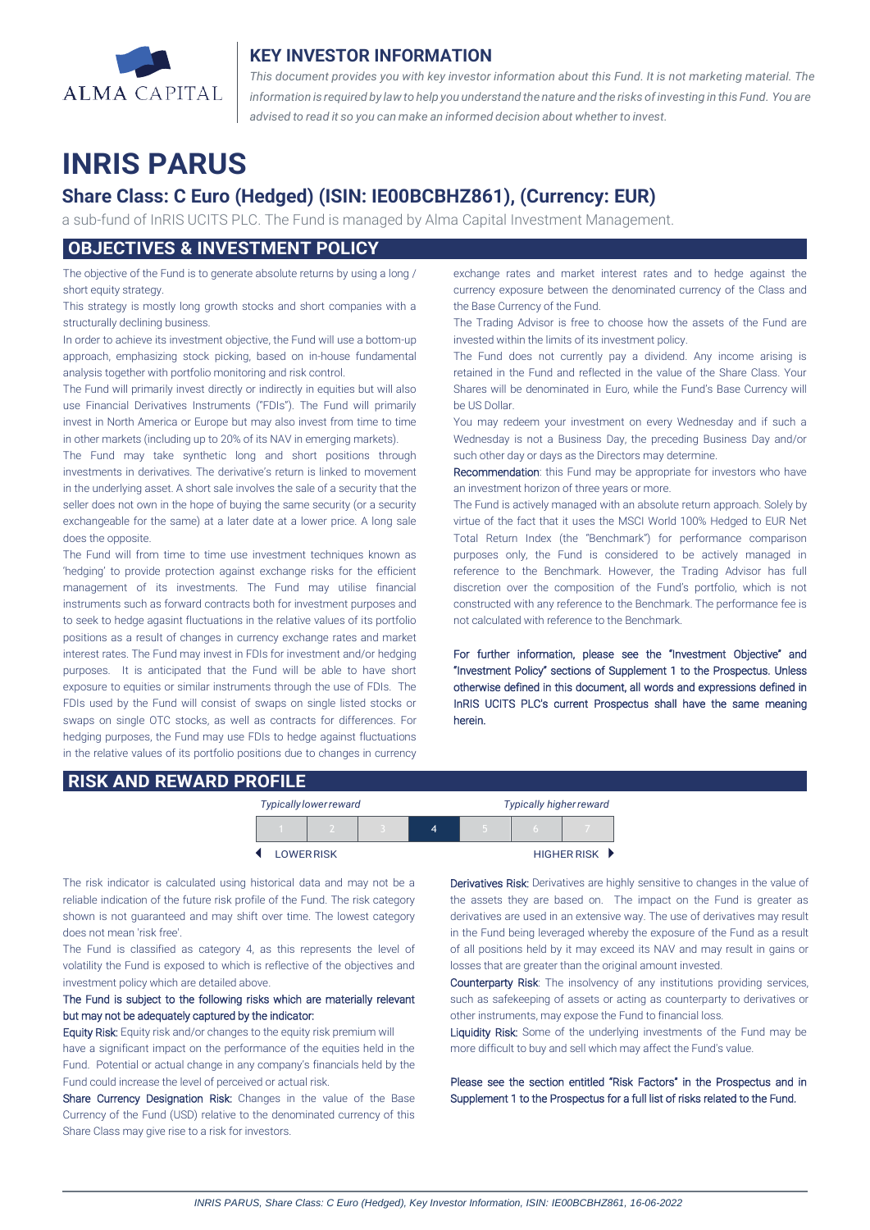

## **KEY INVESTOR INFORMATION**

*This document provides you with key investor information about this Fund. It is not marketing material. The* information is required by law to help you understand the nature and the risks of investing in this Fund. You are *advised to read it so you can make an informed decision about whether to invest.*

# **INRIS PARUS**

## **Share Class: C Euro (Hedged) (ISIN: IE00BCBHZ861), (Currency: EUR)**

a sub-fund of InRIS UCITS PLC. The Fund is managed by Alma Capital Investment Management.

## **OBJECTIVES & INVESTMENT POLICY**

The objective of the Fund is to generate absolute returns by using a long / short equity strategy.

This strategy is mostly long growth stocks and short companies with a structurally declining business.

In order to achieve its investment objective, the Fund will use a bottom-up approach, emphasizing stock picking, based on in-house fundamental analysis together with portfolio monitoring and risk control.

The Fund will primarily invest directly or indirectly in equities but will also use Financial Derivatives Instruments ("FDIs"). The Fund will primarily invest in North America or Europe but may also invest from time to time in other markets (including up to 20% of its NAV in emerging markets).

The Fund may take synthetic long and short positions through investments in derivatives. The derivative's return is linked to movement in the underlying asset. A short sale involves the sale of a security that the seller does not own in the hope of buying the same security (or a security exchangeable for the same) at a later date at a lower price. A long sale does the opposite.

The Fund will from time to time use investment techniques known as 'hedging' to provide protection against exchange risks for the efficient management of its investments. The Fund may utilise financial instruments such as forward contracts both for investment purposes and to seek to hedge agasint fluctuations in the relative values of its portfolio positions as a result of changes in currency exchange rates and market interest rates. The Fund may invest in FDIs for investment and/or hedging purposes. It is anticipated that the Fund will be able to have short exposure to equities or similar instruments through the use of FDIs. The FDIs used by the Fund will consist of swaps on single listed stocks or swaps on single OTC stocks, as well as contracts for differences. For hedging purposes, the Fund may use FDIs to hedge against fluctuations in the relative values of its portfolio positions due to changes in currency exchange rates and market interest rates and to hedge against the currency exposure between the denominated currency of the Class and the Base Currency of the Fund.

The Trading Advisor is free to choose how the assets of the Fund are invested within the limits of its investment policy.

The Fund does not currently pay a dividend. Any income arising is retained in the Fund and reflected in the value of the Share Class. Your Shares will be denominated in Euro, while the Fund's Base Currency will be US Dollar.

You may redeem your investment on every Wednesday and if such a Wednesday is not a Business Day, the preceding Business Day and/or such other day or days as the Directors may determine.

Recommendation: this Fund may be appropriate for investors who have an investment horizon of three years or more.

The Fund is actively managed with an absolute return approach. Solely by virtue of the fact that it uses the MSCI World 100% Hedged to EUR Net Total Return Index (the "Benchmark") for performance comparison purposes only, the Fund is considered to be actively managed in reference to the Benchmark. However, the Trading Advisor has full discretion over the composition of the Fund's portfolio, which is not constructed with any reference to the Benchmark. The performance fee is not calculated with reference to the Benchmark.

For further information, please see the "Investment Objective" and "Investment Policy" sections of Supplement 1 to the Prospectus. Unless otherwise defined in this document, all words and expressions defined in InRIS UCITS PLC's current Prospectus shall have the same meaning herein.

### **RISK AND REWARD PROFILE**

|                   | <b>Typically lower reward</b> |  | <b>Typically higher reward</b> |  |  |             |
|-------------------|-------------------------------|--|--------------------------------|--|--|-------------|
|                   |                               |  | 4                              |  |  |             |
| <b>LOWER RISK</b> |                               |  |                                |  |  | HIGHER RISK |

The risk indicator is calculated using historical data and may not be a reliable indication of the future risk profile of the Fund. The risk category shown is not guaranteed and may shift over time. The lowest category does not mean 'risk free'.

The Fund is classified as category 4, as this represents the level of volatility the Fund is exposed to which is reflective of the objectives and investment policy which are detailed above.

#### The Fund is subject to the following risks which are materially relevant but may not be adequately captured by the indicator:

Equity Risk: Equity risk and/or changes to the equity risk premium will have a significant impact on the performance of the equities held in the Fund. Potential or actual change in any company's financials held by the Fund could increase the level of perceived or actual risk.

Share Currency Designation Risk: Changes in the value of the Base Currency of the Fund (USD) relative to the denominated currency of this Share Class may give rise to a risk for investors.

Derivatives Risk: Derivatives are highly sensitive to changes in the value of the assets they are based on. The impact on the Fund is greater as derivatives are used in an extensive way. The use of derivatives may result in the Fund being leveraged whereby the exposure of the Fund as a result of all positions held by it may exceed its NAV and may result in gains or losses that are greater than the original amount invested.

Counterparty Risk: The insolvency of any institutions providing services, such as safekeeping of assets or acting as counterparty to derivatives or other instruments, may expose the Fund to financial loss.

Liquidity Risk: Some of the underlying investments of the Fund may be more difficult to buy and sell which may affect the Fund's value.

Please see the section entitled "Risk Factors" in the Prospectus and in Supplement 1 to the Prospectus for a full list of risks related to the Fund.